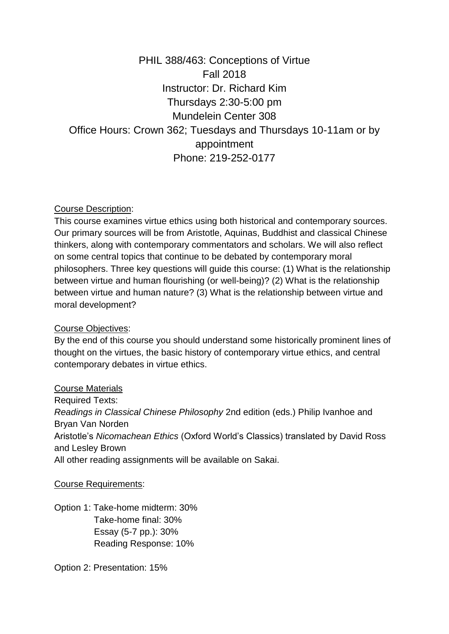# PHIL 388/463: Conceptions of Virtue Fall 2018 Instructor: Dr. Richard Kim Thursdays 2:30-5:00 pm Mundelein Center 308 Office Hours: Crown 362; Tuesdays and Thursdays 10-11am or by appointment Phone: 219-252-0177

## Course Description:

This course examines virtue ethics using both historical and contemporary sources. Our primary sources will be from Aristotle, Aquinas, Buddhist and classical Chinese thinkers, along with contemporary commentators and scholars. We will also reflect on some central topics that continue to be debated by contemporary moral philosophers. Three key questions will guide this course: (1) What is the relationship between virtue and human flourishing (or well-being)? (2) What is the relationship between virtue and human nature? (3) What is the relationship between virtue and moral development?

#### Course Objectives:

By the end of this course you should understand some historically prominent lines of thought on the virtues, the basic history of contemporary virtue ethics, and central contemporary debates in virtue ethics.

#### Course Materials

Required Texts: *Readings in Classical Chinese Philosophy* 2nd edition (eds.) Philip Ivanhoe and Bryan Van Norden Aristotle's *Nicomachean Ethics* (Oxford World's Classics) translated by David Ross and Lesley Brown All other reading assignments will be available on Sakai.

#### Course Requirements:

Option 1: Take-home midterm: 30% Take-home final: 30% Essay (5-7 pp.): 30% Reading Response: 10%

Option 2: Presentation: 15%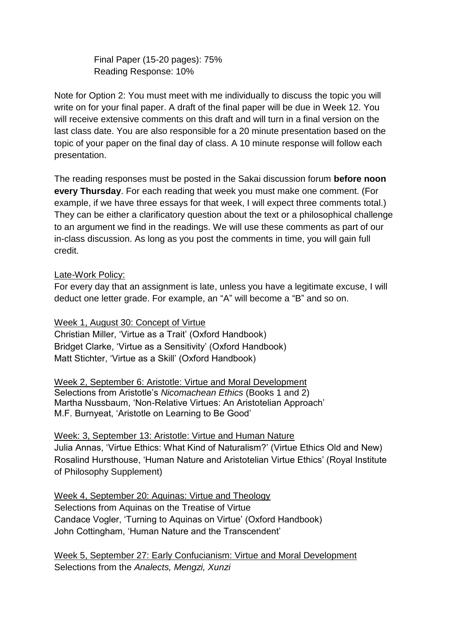Final Paper (15-20 pages): 75% Reading Response: 10%

Note for Option 2: You must meet with me individually to discuss the topic you will write on for your final paper. A draft of the final paper will be due in Week 12. You will receive extensive comments on this draft and will turn in a final version on the last class date. You are also responsible for a 20 minute presentation based on the topic of your paper on the final day of class. A 10 minute response will follow each presentation.

The reading responses must be posted in the Sakai discussion forum **before noon every Thursday**. For each reading that week you must make one comment. (For example, if we have three essays for that week, I will expect three comments total.) They can be either a clarificatory question about the text or a philosophical challenge to an argument we find in the readings. We will use these comments as part of our in-class discussion. As long as you post the comments in time, you will gain full credit.

#### Late-Work Policy:

For every day that an assignment is late, unless you have a legitimate excuse, I will deduct one letter grade. For example, an "A" will become a "B" and so on.

#### Week 1, August 30: Concept of Virtue

Christian Miller, 'Virtue as a Trait' (Oxford Handbook) Bridget Clarke, 'Virtue as a Sensitivity' (Oxford Handbook) Matt Stichter, 'Virtue as a Skill' (Oxford Handbook)

Week 2, September 6: Aristotle: Virtue and Moral Development Selections from Aristotle's *Nicomachean Ethics* (Books 1 and 2) Martha Nussbaum, 'Non-Relative Virtues: An Aristotelian Approach' M.F. Burnyeat, 'Aristotle on Learning to Be Good'

### Week: 3, September 13: Aristotle: Virtue and Human Nature Julia Annas, 'Virtue Ethics: What Kind of Naturalism?' (Virtue Ethics Old and New) Rosalind Hursthouse, 'Human Nature and Aristotelian Virtue Ethics' (Royal Institute of Philosophy Supplement)

### Week 4, September 20: Aquinas: Virtue and Theology Selections from Aquinas on the Treatise of Virtue Candace Vogler, 'Turning to Aquinas on Virtue' (Oxford Handbook) John Cottingham, 'Human Nature and the Transcendent'

Week 5, September 27: Early Confucianism: Virtue and Moral Development Selections from the *Analects, Mengzi, Xunzi*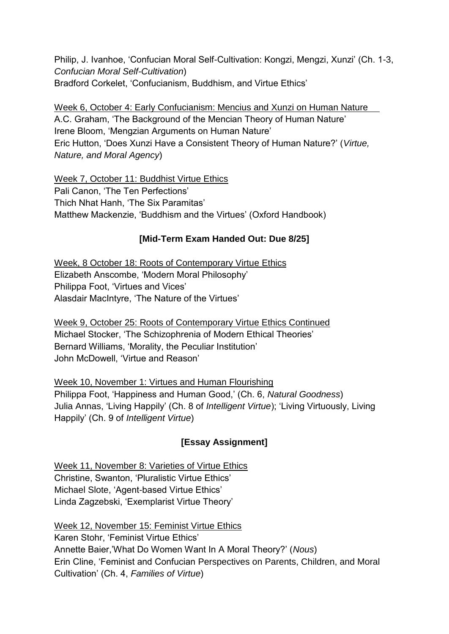Philip, J. Ivanhoe, 'Confucian Moral Self-Cultivation: Kongzi, Mengzi, Xunzi' (Ch. 1-3, *Confucian Moral Self-Cultivation*) Bradford Corkelet, 'Confucianism, Buddhism, and Virtue Ethics'

Week 6, October 4: Early Confucianism: Mencius and Xunzi on Human Nature A.C. Graham, 'The Background of the Mencian Theory of Human Nature' Irene Bloom, 'Mengzian Arguments on Human Nature' Eric Hutton, 'Does Xunzi Have a Consistent Theory of Human Nature?' (*Virtue, Nature, and Moral Agency*)

Week 7, October 11: Buddhist Virtue Ethics Pali Canon, 'The Ten Perfections' Thich Nhat Hanh, 'The Six Paramitas' Matthew Mackenzie, 'Buddhism and the Virtues' (Oxford Handbook)

## **[Mid-Term Exam Handed Out: Due 8/25]**

Week, 8 October 18: Roots of Contemporary Virtue Ethics Elizabeth Anscombe, 'Modern Moral Philosophy' Philippa Foot, 'Virtues and Vices' Alasdair MacIntyre, 'The Nature of the Virtues'

Week 9, October 25: Roots of Contemporary Virtue Ethics Continued Michael Stocker, 'The Schizophrenia of Modern Ethical Theories' Bernard Williams, 'Morality, the Peculiar Institution' John McDowell, 'Virtue and Reason'

Week 10, November 1: Virtues and Human Flourishing Philippa Foot, 'Happiness and Human Good,' (Ch. 6, *Natural Goodness*) Julia Annas, 'Living Happily' (Ch. 8 of *Intelligent Virtue*); 'Living Virtuously, Living Happily' (Ch. 9 of *Intelligent Virtue*)

# **[Essay Assignment]**

Week 11, November 8: Varieties of Virtue Ethics Christine, Swanton, 'Pluralistic Virtue Ethics' Michael Slote, 'Agent-based Virtue Ethics' Linda Zagzebski, 'Exemplarist Virtue Theory'

Week 12, November 15: Feminist Virtue Ethics Karen Stohr, 'Feminist Virtue Ethics' Annette Baier,'What Do Women Want In A Moral Theory?' (*Nous*) Erin Cline, 'Feminist and Confucian Perspectives on Parents, Children, and Moral Cultivation' (Ch. 4, *Families of Virtue*)